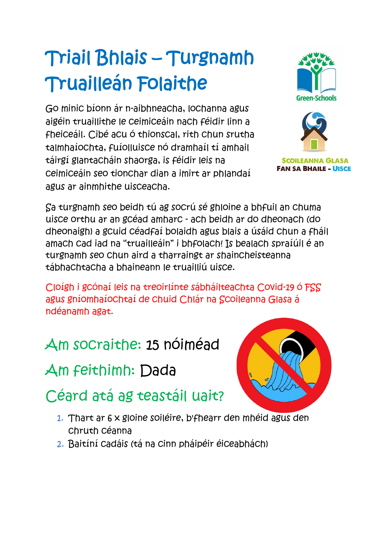# Triail Bhlais – Turgnamh Truailleán Folaithe

Go minic bíonn ár n-aibhneacha, lochanna agus aigéin truaillithe le ceimiceáin nach féidir linn a fheiceáil. Cibé acu ó thionscal, rith chun srutha talmhaíochta, fuíolluisce nó dramhaíl tí amhail táirgí glantacháin shaorga, is féidir leis na ceimiceáin seo tionchar dian a imirt ar phlandaí agus ar ainmhithe uisceacha.



**SCOILEANNA GLASA FAN SA BHAILE - UISCE** 

Sa turgnamh seo beidh tú ag socrú sé ghloine a bhfuil an chuma uisce orthu ar an gcéad amharc - ach beidh ar do dheonach (do dheonaigh) a gcuid céadfaí bolaidh agus blais a úsáid chun a fháil amach cad iad na "truailleáin" i bhfolach! Is bealach spraíúil é an turgnamh seo chun aird a tharraingt ar shaincheisteanna tábhachtacha a bhaineann le truailliú uisce.

Cloígh i gcónaí leis na treoirlínte sábháilteachta Covid-19 ó FSS agus gníomhaíochtaí de chuid Chlár na Scoileanna Glasa á ndéanamh agat.

#### Am socraithe: 15 nóiméad

Am feithimh: Dada

## Céard atá ag teastáil uait?

- 1. Thart ar 6 x gloine soiléire, b'fhearr den mhéid agus den chruth céanna
- 2. Baitíní cadáis (tá na cinn pháipéir éiceabhách)

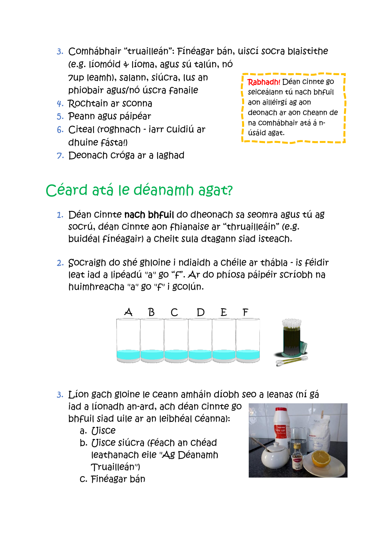- 3. Comhábhair "truailleán": Fínéagar bán, uiscí socra blaistithe (e.g. líomóid & líoma, agus sú talún, nó 7up leamh), salann, siúcra, lus an phiobair agus/nó úscra fanaile
- 4. Rochtain ar sconna
- 5. Peann agus páipéar
- 6. Citeal (roghnach iarr cuidiú ar dhuine fásta!)
- 7. Deonach cróga ar a laghad



### Céard atá le déanamh agat?

- 1. Déan cinnte nach bhfuil do dheonach sa seomra agus tú ag socrú, déan cinnte aon fhianaise ar "thruailleáin" (e.g. buidéal fínéagair) a cheilt sula dtagann siad isteach.
- 2. Socraigh do shé ghloine i ndiaidh a chéile ar thábla is féidir leat iad a lipéadú "a" go "f". Ar do phíosa páipéir scríobh na huimhreacha "a" go "f" i gcolún.



3. Líon gach gloine le ceann amháin díobh seo a leanas (ní gá iad a líonadh an-ard, ach déan cinnte go

bhfuil siad uile ar an leibhéal céanna):

- a. Uisce
- b. Uisce siúcra (féach an chéad leathanach eile "Ag Déanamh Truailleán")
- c. Finéagar bán

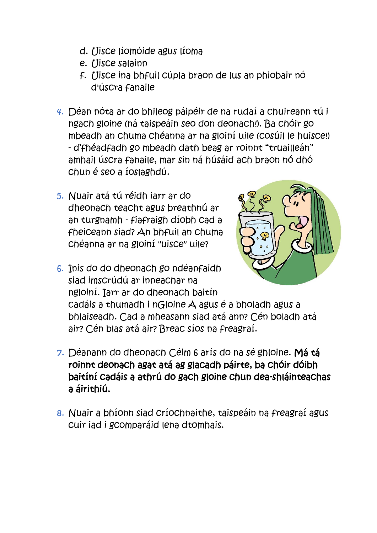- d. Uisce líomóide agus líoma
- e. Uisce salainn
- f. Uisce ina bhfuil cúpla braon de lus an phiobair nó d'úscra fanaile
- 4. Déan nóta ar do bhileog páipéir de na rudaí a chuireann tú i ngach gloine (ná taispeáin seo don deonach!). Ba chóir go mbeadh an chuma chéanna ar na gloiní uile (cosúil le huisce!) - d'fhéadfadh go mbeadh dath beag ar roinnt "truailleán" amhail úscra fanaile, mar sin ná húsáid ach braon nó dhó chun é seo a íoslaghdú.
- 5. Nuair atá tú réidh iarr ar do dheonach teacht agus breathnú ar an turgnamh - fiafraigh díobh cad a fheiceann siad? An bhfuil an chuma chéanna ar na gloiní "uisce" uile?



6. Inis do do dheonach go ndéanfaidh siad imscrúdú ar inneachar na ngloiní. Iarr ar do dheonach baitín

cadáis a thumadh i nGloine A agus é a bholadh agus a bhlaiseadh. Cad a mheasann siad atá ann? Cén boladh atá air? Cén blas atá air? Breac síos na freagraí.

- 7. Déanann do dheonach Céim 6 arís do na sé ghloine. Má tá roinnt deonach agat atá ag glacadh páirte, ba chóir dóibh baitíní cadáis a athrú do gach gloine chun dea-shláinteachas a áirithiú.
- 8. Nuair a bhíonn siad críochnaithe, taispeáin na freagraí agus cuir iad i gcomparáid lena dtomhais.